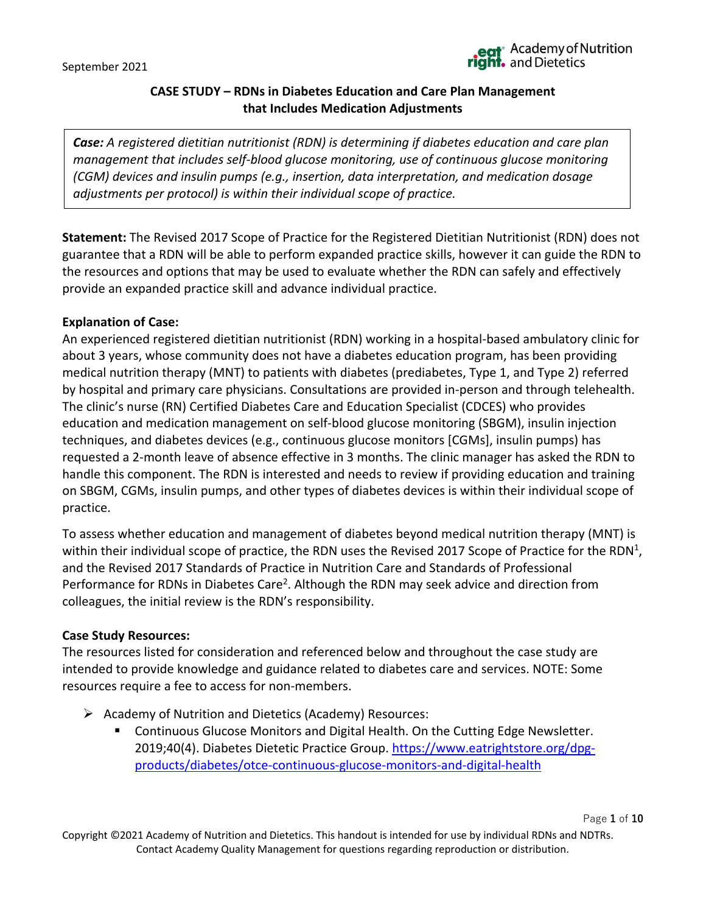Page **1** of **10**

# **CASE STUDY – RDNs in Diabetes Education and Care Plan Management that Includes Medication Adjustments**

*Case: A registered dietitian nutritionist (RDN) is determining if diabetes education and care plan management that includes self-blood glucose monitoring, use of continuous glucose monitoring (CGM) devices and insulin pumps (e.g., insertion, data interpretation, and medication dosage adjustments per protocol) is within their individual scope of practice.* 

**Statement:** The Revised 2017 Scope of Practice for the Registered Dietitian Nutritionist (RDN) does not guarantee that a RDN will be able to perform expanded practice skills, however it can guide the RDN to the resources and options that may be used to evaluate whether the RDN can safely and effectively provide an expanded practice skill and advance individual practice.

### **Explanation of Case:**

An experienced registered dietitian nutritionist (RDN) working in a hospital-based ambulatory clinic for about 3 years, whose community does not have a diabetes education program, has been providing medical nutrition therapy (MNT) to patients with diabetes (prediabetes, Type 1, and Type 2) referred by hospital and primary care physicians. Consultations are provided in-person and through telehealth. The clinic's nurse (RN) Certified Diabetes Care and Education Specialist (CDCES) who provides education and medication management on self-blood glucose monitoring (SBGM), insulin injection techniques, and diabetes devices (e.g., continuous glucose monitors [CGMs], insulin pumps) has requested a 2-month leave of absence effective in 3 months. The clinic manager has asked the RDN to handle this component. The RDN is interested and needs to review if providing education and training on SBGM, CGMs, insulin pumps, and other types of diabetes devices is within their individual scope of practice.

To assess whether education and management of diabetes beyond medical nutrition therapy (MNT) is within their individual scope of practice, the RDN uses the Revised 2017 Scope of Practice for the RDN<sup>1</sup>, and the Revised 2017 Standards of Practice in Nutrition Care and Standards of Professional Performance for RDNs in Diabetes Care<sup>2</sup>. Although the RDN may seek advice and direction from colleagues, the initial review is the RDN's responsibility.

#### **Case Study Resources:**

The resources listed for consideration and referenced below and throughout the case study are intended to provide knowledge and guidance related to diabetes care and services. NOTE: Some resources require a fee to access for non-members.

- ➢ Academy of Nutrition and Dietetics (Academy) Resources:
	- Continuous Glucose Monitors and Digital Health. On the Cutting Edge Newsletter. 2019;40(4). Diabetes Dietetic Practice Group. https://www.eatrightstore.org/dpgproducts/diabetes/otce-continuous-glucose-monitors-and-digital-health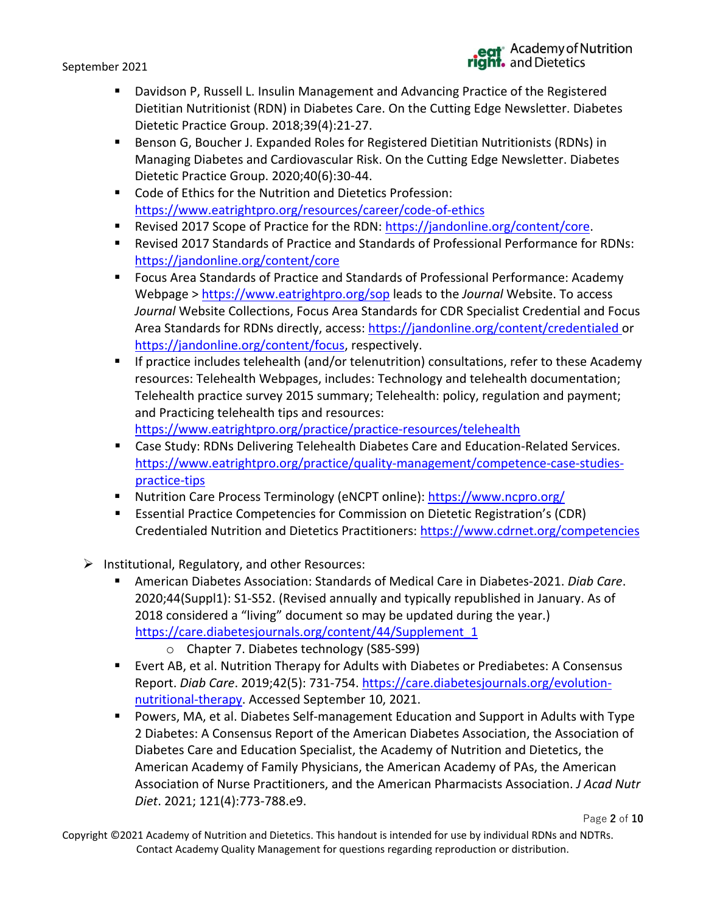- Davidson P, Russell L. Insulin Management and Advancing Practice of the Registered Dietitian Nutritionist (RDN) in Diabetes Care. On the Cutting Edge Newsletter. Diabetes Dietetic Practice Group. 2018;39(4):21-27.
- Benson G, Boucher J. Expanded Roles for Registered Dietitian Nutritionists (RDNs) in Managing Diabetes and Cardiovascular Risk. On the Cutting Edge Newsletter. Diabetes Dietetic Practice Group. 2020;40(6):30-44.
- Code of Ethics for the Nutrition and Dietetics Profession: <https://www.eatrightpro.org/resources/career/code-of-ethics>
- Revised 2017 Scope of Practice for the RDN: [https://jandonline.org/content/core.](https://jandonline.org/content/core)
- Revised 2017 Standards of Practice and Standards of Professional Performance for RDNs: <https://jandonline.org/content/core>
- Focus Area Standards of Practice and Standards of Professional Performance: Academy Webpage ><https://www.eatrightpro.org/sop> leads to the *Journal* Website. To access *Journal* Website Collections, Focus Area Standards for CDR Specialist Credential and Focus Area Standards for RDNs directly, access:<https://jandonline.org/content/credentialed> or [https://jandonline.org/content/focus,](https://jandonline.org/content/focus) respectively.
- **EXECT** If practice includes telehealth (and/or telenutrition) consultations, refer to these Academy resources: Telehealth Webpages, includes: Technology and telehealth documentation; Telehealth practice survey 2015 summary; Telehealth: policy, regulation and payment; and Practicing telehealth tips and resources: <https://www.eatrightpro.org/practice/practice-resources/telehealth>
- Case Study: RDNs Delivering Telehealth Diabetes Care and Education-Related Services. [https://www.eatrightpro.org/practice/quality-management/competence-case-studies](https://www.eatrightpro.org/practice/quality-management/competence-case-studies-practice-tips)[practice-tips](https://www.eatrightpro.org/practice/quality-management/competence-case-studies-practice-tips)
- Nutrition Care Process Terminology (eNCPT online): <https://www.ncpro.org/>
- Essential Practice Competencies for Commission on Dietetic Registration's (CDR) Credentialed Nutrition and Dietetics Practitioners:<https://www.cdrnet.org/competencies>
- ➢ Institutional, Regulatory, and other Resources:
	- American Diabetes Association: Standards of Medical Care in Diabetes-2021. *Diab Care*. 2020;44(Suppl1): S1-S52. (Revised annually and typically republished in January. As of 2018 considered a "living" document so may be updated during the year.) [https://care.diabetesjournals.org/content/44/Supplement\\_1](https://care.diabetesjournals.org/content/44/Supplement_1)
		- o Chapter 7. Diabetes technology (S85-S99)
	- Evert AB, et al. Nutrition Therapy for Adults with Diabetes or Prediabetes: A Consensus Report. *Diab Care*. 2019;42(5): 731-754. [https://care.diabetesjournals.org/evolution](https://care.diabetesjournals.org/evolution-nutritional-therapy)[nutritional-therapy.](https://care.diabetesjournals.org/evolution-nutritional-therapy) Accessed September 10, 2021.
	- Powers, MA, et al. Diabetes Self-management Education and Support in Adults with Type 2 Diabetes: A Consensus Report of the American Diabetes Association, the Association of Diabetes Care and Education Specialist, the Academy of Nutrition and Dietetics, the American Academy of Family Physicians, the American Academy of PAs, the American Association of Nurse Practitioners, and the American Pharmacists Association. *J Acad Nutr Diet*. 2021; 121(4):773-788.e9.

Page **2** of **10**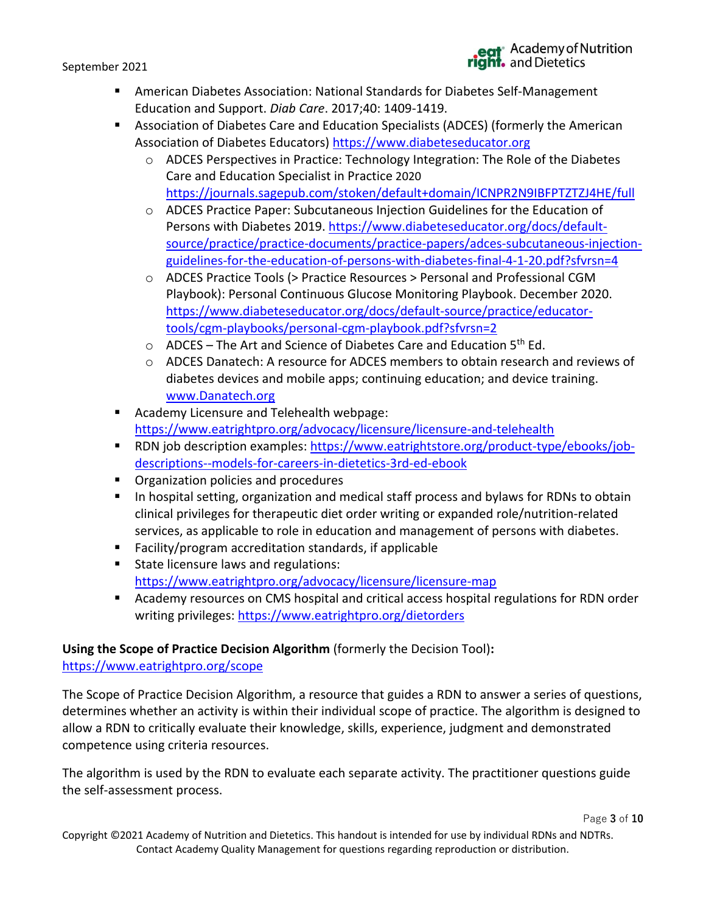- American Diabetes Association: National Standards for Diabetes Self-Management Education and Support. *Diab Care*. 2017;40: 1409-1419.
- **■** Association of Diabetes Care and Education Specialists (ADCES) (formerly the American Association of Diabetes Educators) [https://www.diabeteseducator.org](https://www.diabeteseducator.org/)
	- $\circ$  ADCES Perspectives in Practice: Technology Integration: The Role of the Diabetes Care and Education Specialist in Practice 2020 <https://journals.sagepub.com/stoken/default+domain/ICNPR2N9IBFPTZTZJ4HE/full>
	- o ADCES Practice Paper: Subcutaneous Injection Guidelines for the Education of Persons with Diabetes 2019. [https://www.diabeteseducator.org/docs/default](https://www.diabeteseducator.org/docs/default-source/practice/practice-documents/practice-papers/adces-subcutaneous-injection-guidelines-for-the-education-of-persons-with-diabetes-final-4-1-20.pdf?sfvrsn=4)[source/practice/practice-documents/practice-papers/adces-subcutaneous-injection](https://www.diabeteseducator.org/docs/default-source/practice/practice-documents/practice-papers/adces-subcutaneous-injection-guidelines-for-the-education-of-persons-with-diabetes-final-4-1-20.pdf?sfvrsn=4)[guidelines-for-the-education-of-persons-with-diabetes-final-4-1-20.pdf?sfvrsn=4](https://www.diabeteseducator.org/docs/default-source/practice/practice-documents/practice-papers/adces-subcutaneous-injection-guidelines-for-the-education-of-persons-with-diabetes-final-4-1-20.pdf?sfvrsn=4)
	- o ADCES Practice Tools (> Practice Resources > Personal and Professional CGM Playbook): Personal Continuous Glucose Monitoring Playbook. December 2020. [https://www.diabeteseducator.org/docs/default-source/practice/educator](https://www.diabeteseducator.org/docs/default-source/practice/educator-tools/cgm-playbooks/personal-cgm-playbook.pdf?sfvrsn=2)[tools/cgm-playbooks/personal-cgm-playbook.pdf?sfvrsn=2](https://www.diabeteseducator.org/docs/default-source/practice/educator-tools/cgm-playbooks/personal-cgm-playbook.pdf?sfvrsn=2)
	- $\circ$  ADCES The Art and Science of Diabetes Care and Education 5<sup>th</sup> Ed.
	- o ADCES Danatech: A resource for ADCES members to obtain research and reviews of diabetes devices and mobile apps; continuing education; and device training. [www.Danatech.org](http://www.danatech.org/)
- Academy Licensure and Telehealth webpage: <https://www.eatrightpro.org/advocacy/licensure/licensure-and-telehealth>
- RDN job description examples: [https://www.eatrightstore.org/product-type/ebooks/job](https://www.eatrightstore.org/product-type/ebooks/job-descriptions--models-for-careers-in-dietetics-3rd-ed-ebook)[descriptions--models-for-careers-in-dietetics-3rd-ed-ebook](https://www.eatrightstore.org/product-type/ebooks/job-descriptions--models-for-careers-in-dietetics-3rd-ed-ebook)
- Organization policies and procedures
- In hospital setting, organization and medical staff process and bylaws for RDNs to obtain clinical privileges for therapeutic diet order writing or expanded role/nutrition-related services, as applicable to role in education and management of persons with diabetes.
- Facility/program accreditation standards, if applicable
- State licensure laws and regulations: <https://www.eatrightpro.org/advocacy/licensure/licensure-map>
- Academy resources on CMS hospital and critical access hospital regulations for RDN order writing privileges:<https://www.eatrightpro.org/dietorders>

# **Using the Scope of Practice Decision Algorithm** (formerly the Decision Tool)**:**

<https://www.eatrightpro.org/scope>

The Scope of Practice Decision Algorithm, a resource that guides a RDN to answer a series of questions, determines whether an activity is within their individual scope of practice. The algorithm is designed to allow a RDN to critically evaluate their knowledge, skills, experience, judgment and demonstrated competence using criteria resources.

The algorithm is used by the RDN to evaluate each separate activity. The practitioner questions guide the self-assessment process.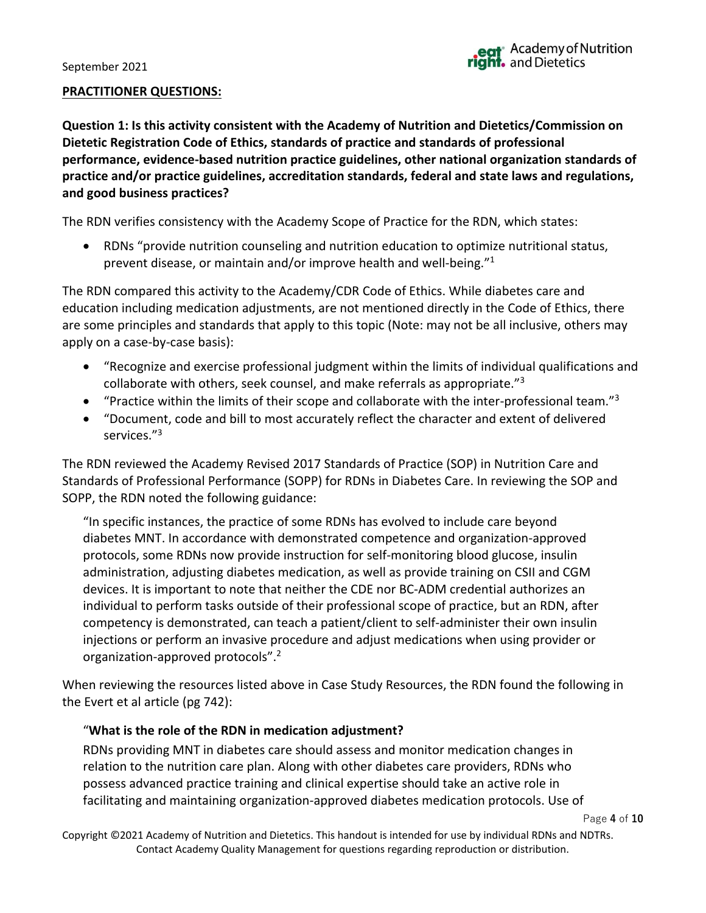#### **PRACTITIONER QUESTIONS:**

**Question 1: Is this activity consistent with the Academy of Nutrition and Dietetics/Commission on Dietetic Registration Code of Ethics, standards of practice and standards of professional performance, evidence-based nutrition practice guidelines, other national organization standards of practice and/or practice guidelines, accreditation standards, federal and state laws and regulations, and good business practices?**

The RDN verifies consistency with the Academy Scope of Practice for the RDN, which states:

• RDNs "provide nutrition counseling and nutrition education to optimize nutritional status, prevent disease, or maintain and/or improve health and well-being."<sup>1</sup>

The RDN compared this activity to the Academy/CDR Code of Ethics. While diabetes care and education including medication adjustments, are not mentioned directly in the Code of Ethics, there are some principles and standards that apply to this topic (Note: may not be all inclusive, others may apply on a case-by-case basis):

- "Recognize and exercise professional judgment within the limits of individual qualifications and collaborate with others, seek counsel, and make referrals as appropriate."<sup>3</sup>
- "Practice within the limits of their scope and collaborate with the inter-professional team."<sup>3</sup>
- "Document, code and bill to most accurately reflect the character and extent of delivered services."<sup>3</sup>

The RDN reviewed the Academy Revised 2017 Standards of Practice (SOP) in Nutrition Care and Standards of Professional Performance (SOPP) for RDNs in Diabetes Care. In reviewing the SOP and SOPP, the RDN noted the following guidance:

"In specific instances, the practice of some RDNs has evolved to include care beyond diabetes MNT. In accordance with demonstrated competence and organization-approved protocols, some RDNs now provide instruction for self-monitoring blood glucose, insulin administration, adjusting diabetes medication, as well as provide training on CSII and CGM devices. It is important to note that neither the CDE nor BC-ADM credential authorizes an individual to perform tasks outside of their professional scope of practice, but an RDN, after competency is demonstrated, can teach a patient/client to self-administer their own insulin injections or perform an invasive procedure and adjust medications when using provider or organization-approved protocols".<sup>2</sup>

When reviewing the resources listed above in Case Study Resources, the RDN found the following in the Evert et al article (pg 742):

# "**What is the role of the RDN in medication adjustment?**

RDNs providing MNT in diabetes care should assess and monitor medication changes in relation to the nutrition care plan. Along with other diabetes care providers, RDNs who possess advanced practice training and clinical expertise should take an active role in facilitating and maintaining organization-approved diabetes medication protocols. Use of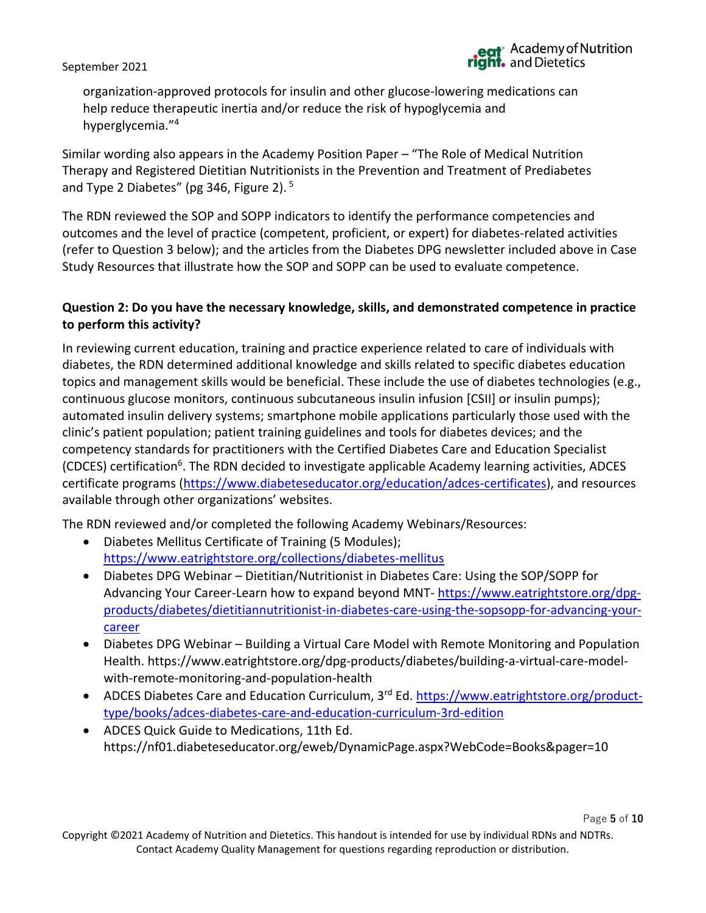organization-approved protocols for insulin and other glucose-lowering medications can help reduce therapeutic inertia and/or reduce the risk of hypoglycemia and hyperglycemia."<sup>4</sup>

Similar wording also appears in the Academy Position Paper – "The Role of Medical Nutrition Therapy and Registered Dietitian Nutritionists in the Prevention and Treatment of Prediabetes and Type 2 Diabetes" (pg 346, Figure 2).<sup>5</sup>

The RDN reviewed the SOP and SOPP indicators to identify the performance competencies and outcomes and the level of practice (competent, proficient, or expert) for diabetes-related activities (refer to Question 3 below); and the articles from the Diabetes DPG newsletter included above in Case Study Resources that illustrate how the SOP and SOPP can be used to evaluate competence.

## **Question 2: Do you have the necessary knowledge, skills, and demonstrated competence in practice to perform this activity?**

In reviewing current education, training and practice experience related to care of individuals with diabetes, the RDN determined additional knowledge and skills related to specific diabetes education topics and management skills would be beneficial. These include the use of diabetes technologies (e.g., continuous glucose monitors, continuous subcutaneous insulin infusion [CSII] or insulin pumps); automated insulin delivery systems; smartphone mobile applications particularly those used with the clinic's patient population; patient training guidelines and tools for diabetes devices; and the competency standards for practitioners with the Certified Diabetes Care and Education Specialist (CDCES) certification<sup>6</sup>. The RDN decided to investigate applicable Academy learning activities, ADCES certificate programs [\(https://www.diabeteseducator.org/education/adces-certificates\)](https://www.diabeteseducator.org/education/adces-certificates), and resources available through other organizations' websites.

The RDN reviewed and/or completed the following Academy Webinars/Resources:

- Diabetes Mellitus Certificate of Training (5 Modules); <https://www.eatrightstore.org/collections/diabetes-mellitus>
- Diabetes DPG Webinar Dietitian/Nutritionist in Diabetes Care: Using the SOP/SOPP for Advancing Your Career-Learn how to expand beyond MNT- [https://www.eatrightstore.org/dpg](https://www.eatrightstore.org/dpg-products/diabetes/dietitiannutritionist-in-diabetes-care-using-the-sopsopp-for-advancing-your-career)[products/diabetes/dietitiannutritionist-in-diabetes-care-using-the-sopsopp-for-advancing-your](https://www.eatrightstore.org/dpg-products/diabetes/dietitiannutritionist-in-diabetes-care-using-the-sopsopp-for-advancing-your-career)[career](https://www.eatrightstore.org/dpg-products/diabetes/dietitiannutritionist-in-diabetes-care-using-the-sopsopp-for-advancing-your-career)
- Diabetes DPG Webinar Building a Virtual Care Model with Remote Monitoring and Population Health. https://www.eatrightstore.org/dpg-products/diabetes/building-a-virtual-care-modelwith-remote-monitoring-and-population-health
- ADCES Diabetes Care and Education Curriculum,  $3^{rd}$  Ed. [https://www.eatrightstore.org/product](https://www.eatrightstore.org/product-type/books/adces-diabetes-care-and-education-curriculum-3rd-edition)[type/books/adces-diabetes-care-and-education-curriculum-3rd-edition](https://www.eatrightstore.org/product-type/books/adces-diabetes-care-and-education-curriculum-3rd-edition)
- ADCES Quick Guide to Medications, 11th Ed. https://nf01.diabeteseducator.org/eweb/DynamicPage.aspx?WebCode=Books&pager=10

Page **5** of **10**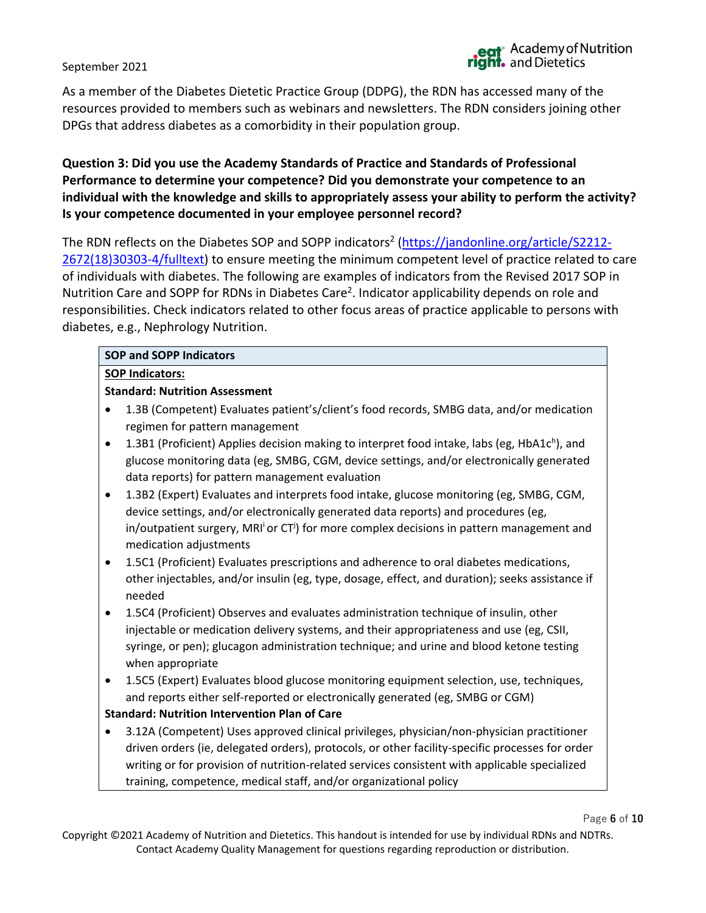Page **6** of **10**

#### September 2021

As a member of the Diabetes Dietetic Practice Group (DDPG), the RDN has accessed many of the resources provided to members such as webinars and newsletters. The RDN considers joining other DPGs that address diabetes as a comorbidity in their population group.

# **Question 3: Did you use the Academy Standards of Practice and Standards of Professional Performance to determine your competence? Did you demonstrate your competence to an individual with the knowledge and skills to appropriately assess your ability to perform the activity? Is your competence documented in your employee personnel record?**

The RDN reflects on the Diabetes SOP and SOPP indicators<sup>2</sup> [\(https://jandonline.org/article/S2212-](https://jandonline.org/article/S2212-2672(18)30303-4/fulltext) [2672\(18\)30303-4/fulltext\)](https://jandonline.org/article/S2212-2672(18)30303-4/fulltext) to ensure meeting the minimum competent level of practice related to care of individuals with diabetes. The following are examples of indicators from the Revised 2017 SOP in Nutrition Care and SOPP for RDNs in Diabetes Care<sup>2</sup>. Indicator applicability depends on role and responsibilities. Check indicators related to other focus areas of practice applicable to persons with diabetes, e.g., Nephrology Nutrition.

#### **SOP and SOPP Indicators**

#### **SOP Indicators:**

#### **Standard: Nutrition Assessment**

- 1.3B (Competent) Evaluates patient's/client's food records, SMBG data, and/or medication regimen for pattern management
- 1.3B1 (Proficient) Applies decision making to interpret food intake, labs (eg, HbA1 $c^h$ ), and glucose monitoring data (eg, SMBG, CGM, device settings, and/or electronically generated data reports) for pattern management evaluation
- 1.3B2 (Expert) Evaluates and interprets food intake, glucose monitoring (eg, SMBG, CGM, device settings, and/or electronically generated data reports) and procedures (eg, in/outpatient surgery, MRI<sup>i</sup>or CT<sup>j</sup>) for more complex decisions in pattern management and medication adjustments
- 1.5C1 (Proficient) Evaluates prescriptions and adherence to oral diabetes medications, other injectables, and/or insulin (eg, type, dosage, effect, and duration); seeks assistance if needed
- 1.5C4 (Proficient) Observes and evaluates administration technique of insulin, other injectable or medication delivery systems, and their appropriateness and use (eg, CSII, syringe, or pen); glucagon administration technique; and urine and blood ketone testing when appropriate
- 1.5C5 (Expert) Evaluates blood glucose monitoring equipment selection, use, techniques, and reports either self-reported or electronically generated (eg, SMBG or CGM)

#### **Standard: Nutrition Intervention Plan of Care**

• 3.12A (Competent) Uses approved clinical privileges, physician/non-physician practitioner driven orders (ie, delegated orders), protocols, or other facility-specific processes for order writing or for provision of nutrition-related services consistent with applicable specialized training, competence, medical staff, and/or organizational policy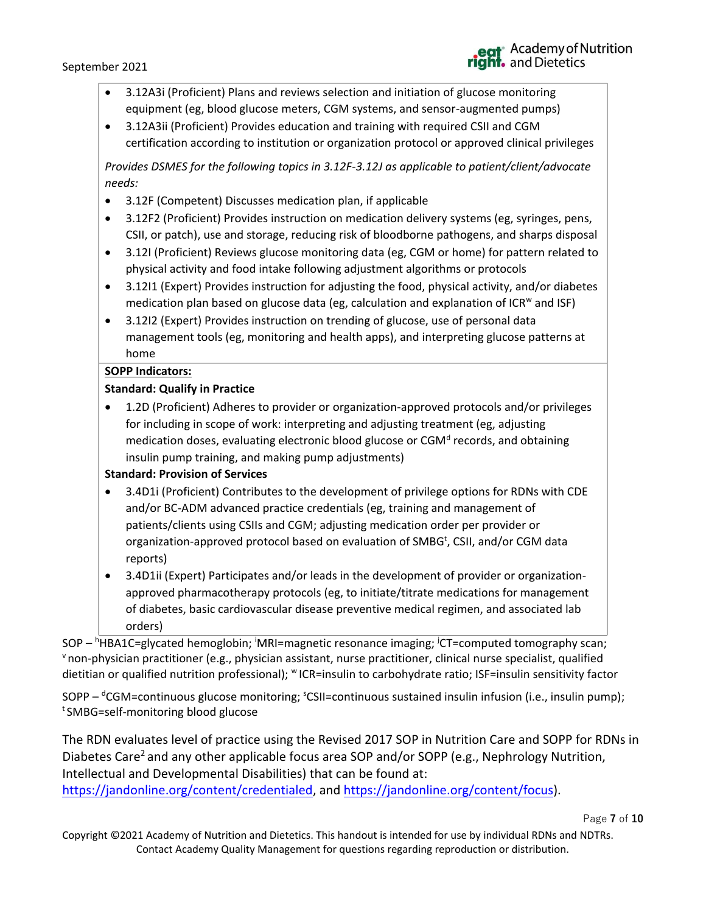- 3.12A3i (Proficient) Plans and reviews selection and initiation of glucose monitoring equipment (eg, blood glucose meters, CGM systems, and sensor-augmented pumps)
- 3.12A3ii (Proficient) Provides education and training with required CSII and CGM certification according to institution or organization protocol or approved clinical privileges

*Provides DSMES for the following topics in 3.12F-3.12J as applicable to patient/client/advocate needs:*

- 3.12F (Competent) Discusses medication plan, if applicable
- 3.12F2 (Proficient) Provides instruction on medication delivery systems (eg, syringes, pens, CSII, or patch), use and storage, reducing risk of bloodborne pathogens, and sharps disposal
- 3.12I (Proficient) Reviews glucose monitoring data (eg, CGM or home) for pattern related to physical activity and food intake following adjustment algorithms or protocols
- 3.12I1 (Expert) Provides instruction for adjusting the food, physical activity, and/or diabetes medication plan based on glucose data (eg, calculation and explanation of ICR<sup>w</sup> and ISF)
- 3.12I2 (Expert) Provides instruction on trending of glucose, use of personal data management tools (eg, monitoring and health apps), and interpreting glucose patterns at home

#### **SOPP Indicators:**

#### **Standard: Qualify in Practice**

• 1.2D (Proficient) Adheres to provider or organization-approved protocols and/or privileges for including in scope of work: interpreting and adjusting treatment (eg, adjusting medication doses, evaluating electronic blood glucose or CGM<sup>d</sup> records, and obtaining insulin pump training, and making pump adjustments)

#### **Standard: Provision of Services**

- 3.4D1i (Proficient) Contributes to the development of privilege options for RDNs with CDE and/or BC-ADM advanced practice credentials (eg, training and management of patients/clients using CSIIs and CGM; adjusting medication order per provider or organization-approved protocol based on evaluation of SMBG<sup>t</sup>, CSII, and/or CGM data reports)
- 3.4D1ii (Expert) Participates and/or leads in the development of provider or organizationapproved pharmacotherapy protocols (eg, to initiate/titrate medications for management of diabetes, basic cardiovascular disease preventive medical regimen, and associated lab orders)

SOP – <sup>h</sup>HBA1C=glycated hemoglobin; <sup>i</sup>MRI=magnetic resonance imaging; <sup>j</sup>CT=computed tomography scan; <sup>v</sup> non-physician practitioner (e.g., physician assistant, nurse practitioner, clinical nurse specialist, qualified dietitian or qualified nutrition professional); <sup>w</sup> ICR=insulin to carbohydrate ratio; ISF=insulin sensitivity factor

SOPP – <sup>d</sup>CGM=continuous glucose monitoring; <sup>s</sup>CSII=continuous sustained insulin infusion (i.e., insulin pump); t SMBG=self-monitoring blood glucose

The RDN evaluates level of practice using the Revised 2017 SOP in Nutrition Care and SOPP for RDNs in Diabetes Care<sup>2</sup> and any other applicable focus area SOP and/or SOPP (e.g., Nephrology Nutrition, Intellectual and Developmental Disabilities) that can be found at: [https://jandonline.org/content/credentialed,](https://jandonline.org/content/credentialed) and [https://jandonline.org/content/focus\)](https://jandonline.org/content/focus).

Page **7** of **10**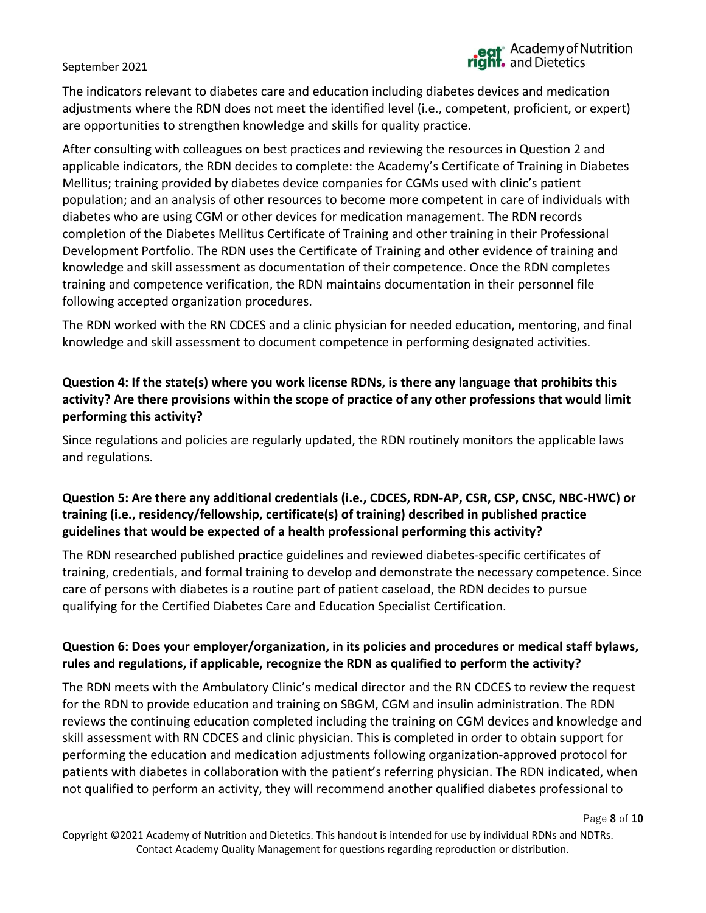# eat<sup>\*</sup> Academy of Nutrition<br>**right.** and Dietetics

#### September 2021

The indicators relevant to diabetes care and education including diabetes devices and medication adjustments where the RDN does not meet the identified level (i.e., competent, proficient, or expert) are opportunities to strengthen knowledge and skills for quality practice.

After consulting with colleagues on best practices and reviewing the resources in Question 2 and applicable indicators, the RDN decides to complete: the Academy's Certificate of Training in Diabetes Mellitus; training provided by diabetes device companies for CGMs used with clinic's patient population; and an analysis of other resources to become more competent in care of individuals with diabetes who are using CGM or other devices for medication management. The RDN records completion of the Diabetes Mellitus Certificate of Training and other training in their Professional Development Portfolio. The RDN uses the Certificate of Training and other evidence of training and knowledge and skill assessment as documentation of their competence. Once the RDN completes training and competence verification, the RDN maintains documentation in their personnel file following accepted organization procedures.

The RDN worked with the RN CDCES and a clinic physician for needed education, mentoring, and final knowledge and skill assessment to document competence in performing designated activities.

# **Question 4: If the state(s) where you work license RDNs, is there any language that prohibits this activity? Are there provisions within the scope of practice of any other professions that would limit performing this activity?**

Since regulations and policies are regularly updated, the RDN routinely monitors the applicable laws and regulations.

# **Question 5: Are there any additional credentials (i.e., CDCES, RDN-AP, CSR, CSP, CNSC, NBC-HWC) or training (i.e., residency/fellowship, certificate(s) of training) described in published practice guidelines that would be expected of a health professional performing this activity?**

The RDN researched published practice guidelines and reviewed diabetes-specific certificates of training, credentials, and formal training to develop and demonstrate the necessary competence. Since care of persons with diabetes is a routine part of patient caseload, the RDN decides to pursue qualifying for the Certified Diabetes Care and Education Specialist Certification.

# **Question 6: Does your employer/organization, in its policies and procedures or medical staff bylaws, rules and regulations, if applicable, recognize the RDN as qualified to perform the activity?**

The RDN meets with the Ambulatory Clinic's medical director and the RN CDCES to review the request for the RDN to provide education and training on SBGM, CGM and insulin administration. The RDN reviews the continuing education completed including the training on CGM devices and knowledge and skill assessment with RN CDCES and clinic physician. This is completed in order to obtain support for performing the education and medication adjustments following organization-approved protocol for patients with diabetes in collaboration with the patient's referring physician. The RDN indicated, when not qualified to perform an activity, they will recommend another qualified diabetes professional to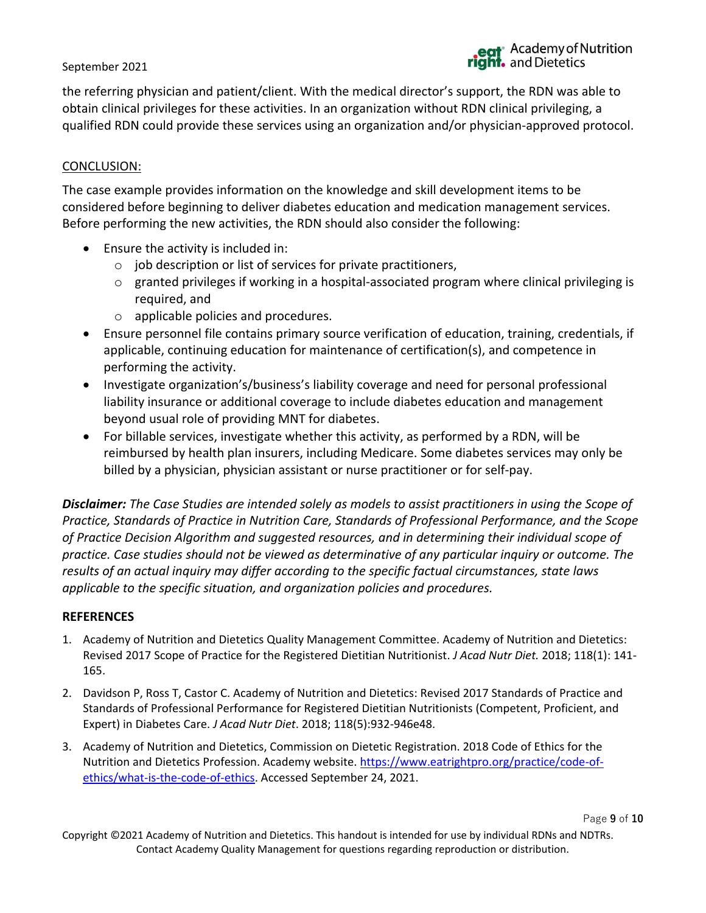the referring physician and patient/client. With the medical director's support, the RDN was able to obtain clinical privileges for these activities. In an organization without RDN clinical privileging, a qualified RDN could provide these services using an organization and/or physician-approved protocol.

#### CONCLUSION:

The case example provides information on the knowledge and skill development items to be considered before beginning to deliver diabetes education and medication management services. Before performing the new activities, the RDN should also consider the following:

- Ensure the activity is included in:
	- o job description or list of services for private practitioners,
	- $\circ$  granted privileges if working in a hospital-associated program where clinical privileging is required, and
	- o applicable policies and procedures.
- Ensure personnel file contains primary source verification of education, training, credentials, if applicable, continuing education for maintenance of certification(s), and competence in performing the activity.
- Investigate organization's/business's liability coverage and need for personal professional liability insurance or additional coverage to include diabetes education and management beyond usual role of providing MNT for diabetes.
- For billable services, investigate whether this activity, as performed by a RDN, will be reimbursed by health plan insurers, including Medicare. Some diabetes services may only be billed by a physician, physician assistant or nurse practitioner or for self-pay.

*Disclaimer: The Case Studies are intended solely as models to assist practitioners in using the Scope of Practice, Standards of Practice in Nutrition Care, Standards of Professional Performance, and the Scope of Practice Decision Algorithm and suggested resources, and in determining their individual scope of practice. Case studies should not be viewed as determinative of any particular inquiry or outcome. The results of an actual inquiry may differ according to the specific factual circumstances, state laws applicable to the specific situation, and organization policies and procedures.*

#### **REFERENCES**

- 1. Academy of Nutrition and Dietetics Quality Management Committee. Academy of Nutrition and Dietetics: Revised 2017 Scope of Practice for the Registered Dietitian Nutritionist. *J Acad Nutr Diet.* 2018; 118(1): 141- 165.
- 2. Davidson P, Ross T, Castor C. Academy of Nutrition and Dietetics: Revised 2017 Standards of Practice and Standards of Professional Performance for Registered Dietitian Nutritionists (Competent, Proficient, and Expert) in Diabetes Care. *J Acad Nutr Diet*. 2018; 118(5):932-946e48.
- 3. Academy of Nutrition and Dietetics, Commission on Dietetic Registration. 2018 Code of Ethics for the Nutrition and Dietetics Profession. Academy website. [https://www.eatrightpro.org/practice/code-of](https://www.eatrightpro.org/practice/code-of-ethics/what-is-the-code-of-ethics)[ethics/what-is-the-code-of-ethics.](https://www.eatrightpro.org/practice/code-of-ethics/what-is-the-code-of-ethics) Accessed September 24, 2021.

Page **9** of **10**